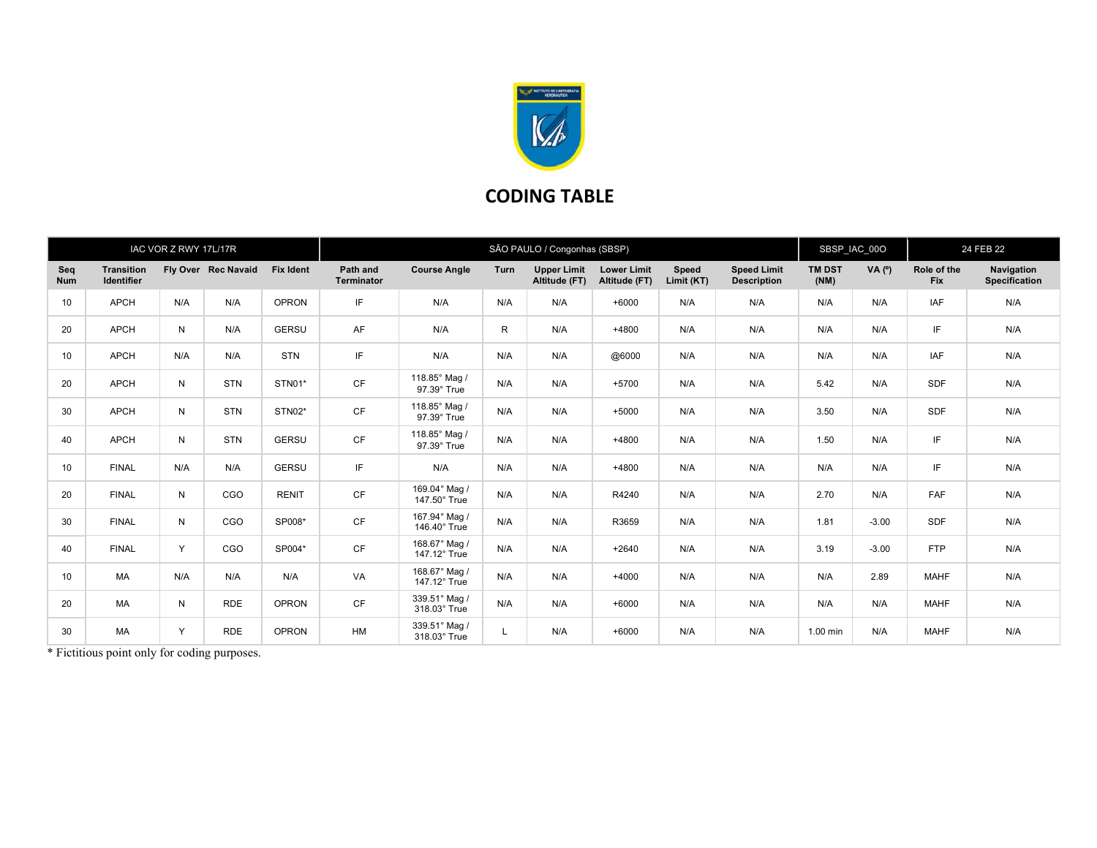

## CODING TABLE

| IAC VOR Z RWY 17L/17R |                                        |     |                     |                  | SÃO PAULO / Congonhas (SBSP) |                               |      |                                     |                                     |                     |                                          |                       | SBSP_IAC_00O |                    | 24 FEB 22                          |  |
|-----------------------|----------------------------------------|-----|---------------------|------------------|------------------------------|-------------------------------|------|-------------------------------------|-------------------------------------|---------------------|------------------------------------------|-----------------------|--------------|--------------------|------------------------------------|--|
| Seq<br><b>Num</b>     | <b>Transition</b><br><b>Identifier</b> |     | Fly Over Rec Navaid | <b>Fix Ident</b> | Path and<br>Terminator       | <b>Course Angle</b>           | Turn | <b>Upper Limit</b><br>Altitude (FT) | <b>Lower Limit</b><br>Altitude (FT) | Speed<br>Limit (KT) | <b>Speed Limit</b><br><b>Description</b> | <b>TM DST</b><br>(NM) | VA $(°)$     | Role of the<br>Fix | Navigation<br><b>Specification</b> |  |
| 10                    | <b>APCH</b>                            | N/A | N/A                 | <b>OPRON</b>     | IF                           | N/A                           | N/A  | N/A                                 | $+6000$                             | N/A                 | N/A                                      | N/A                   | N/A          | <b>IAF</b>         | N/A                                |  |
| 20                    | <b>APCH</b>                            | N   | N/A                 | <b>GERSU</b>     | AF                           | N/A                           | R    | N/A                                 | $+4800$                             | N/A                 | N/A                                      | N/A                   | N/A          | IF                 | N/A                                |  |
| 10                    | <b>APCH</b>                            | N/A | N/A                 | <b>STN</b>       | IF                           | N/A                           | N/A  | N/A                                 | @6000                               | N/A                 | N/A                                      | N/A                   | N/A          | <b>IAF</b>         | N/A                                |  |
| 20                    | <b>APCH</b>                            | N   | <b>STN</b>          | STN01*           | <b>CF</b>                    | 118.85° Mag /<br>97.39° True  | N/A  | N/A                                 | $+5700$                             | N/A                 | N/A                                      | 5.42                  | N/A          | <b>SDF</b>         | N/A                                |  |
| 30                    | <b>APCH</b>                            | N   | <b>STN</b>          | STN02*           | CF                           | 118.85° Mag /<br>97.39° True  | N/A  | N/A                                 | $+5000$                             | N/A                 | N/A                                      | 3.50                  | N/A          | SDF                | N/A                                |  |
| 40                    | <b>APCH</b>                            | N   | <b>STN</b>          | <b>GERSU</b>     | <b>CF</b>                    | 118.85° Mag /<br>97.39° True  | N/A  | N/A                                 | $+4800$                             | N/A                 | N/A                                      | 1.50                  | N/A          | IF                 | N/A                                |  |
| 10                    | <b>FINAL</b>                           | N/A | N/A                 | <b>GERSU</b>     | IF.                          | N/A                           | N/A  | N/A                                 | +4800                               | N/A                 | N/A                                      | N/A                   | N/A          | IF                 | N/A                                |  |
| 20                    | <b>FINAL</b>                           | N   | CGO                 | <b>RENIT</b>     | <b>CF</b>                    | 169.04° Mag /<br>147.50° True | N/A  | N/A                                 | R4240                               | N/A                 | N/A                                      | 2.70                  | N/A          | <b>FAF</b>         | N/A                                |  |
| 30                    | <b>FINAL</b>                           | N   | CGO                 | SP008*           | <b>CF</b>                    | 167.94° Mag /<br>146.40° True | N/A  | N/A                                 | R3659                               | N/A                 | N/A                                      | 1.81                  | $-3.00$      | <b>SDF</b>         | N/A                                |  |
| 40                    | <b>FINAL</b>                           | Y   | CGO                 | SP004*           | <b>CF</b>                    | 168.67° Mag /<br>147.12° True | N/A  | N/A                                 | $+2640$                             | N/A                 | N/A                                      | 3.19                  | $-3.00$      | <b>FTP</b>         | N/A                                |  |
| 10                    | <b>MA</b>                              | N/A | N/A                 | N/A              | VA                           | 168.67° Mag /<br>147.12° True | N/A  | N/A                                 | $+4000$                             | N/A                 | N/A                                      | N/A                   | 2.89         | <b>MAHF</b>        | N/A                                |  |
| 20                    | <b>MA</b>                              | N   | <b>RDE</b>          | <b>OPRON</b>     | <b>CF</b>                    | 339.51° Mag /<br>318.03° True | N/A  | N/A                                 | $+6000$                             | N/A                 | N/A                                      | N/A                   | N/A          | <b>MAHF</b>        | N/A                                |  |
| 30                    | <b>MA</b>                              | Y   | <b>RDE</b>          | <b>OPRON</b>     | <b>HM</b>                    | 339.51° Mag /<br>318.03° True | L    | N/A                                 | $+6000$                             | N/A                 | N/A                                      | $1.00$ min            | N/A          | <b>MAHF</b>        | N/A                                |  |

\* Fictitious point only for coding purposes.